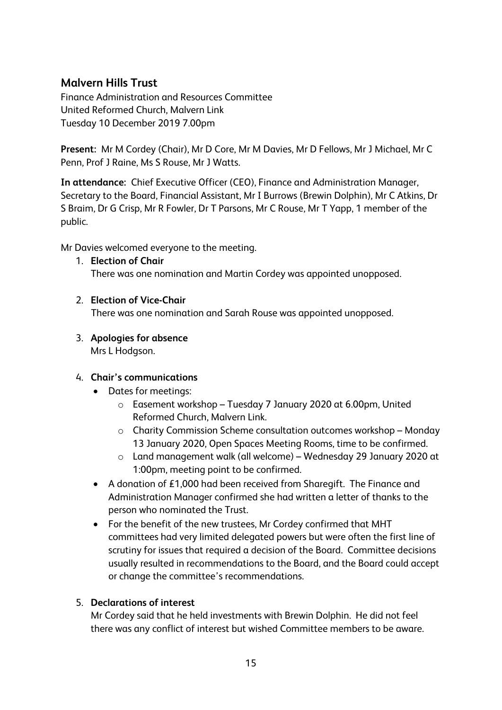# **Malvern Hills Trust**

Finance Administration and Resources Committee United Reformed Church, Malvern Link Tuesday 10 December 2019 7.00pm

**Present:** Mr M Cordey (Chair), Mr D Core, Mr M Davies, Mr D Fellows, Mr J Michael, Mr C Penn, Prof J Raine, Ms S Rouse, Mr J Watts.

**In attendance:** Chief Executive Officer (CEO), Finance and Administration Manager, Secretary to the Board, Financial Assistant, Mr I Burrows (Brewin Dolphin), Mr C Atkins, Dr S Braim, Dr G Crisp, Mr R Fowler, Dr T Parsons, Mr C Rouse, Mr T Yapp, 1 member of the public.

Mr Davies welcomed everyone to the meeting.

1. **Election of Chair**

There was one nomination and Martin Cordey was appointed unopposed.

# 2. **Election of Vice-Chair**

There was one nomination and Sarah Rouse was appointed unopposed.

3. **Apologies for absence**  Mrs L Hodgson.

# 4. **Chair's communications**

- Dates for meetings:
	- o Easement workshop Tuesday 7 January 2020 at 6.00pm, United Reformed Church, Malvern Link.
	- o Charity Commission Scheme consultation outcomes workshop Monday 13 January 2020, Open Spaces Meeting Rooms, time to be confirmed.
	- o Land management walk (all welcome) Wednesday 29 January 2020 at 1:00pm, meeting point to be confirmed.
- A donation of £1,000 had been received from Sharegift. The Finance and Administration Manager confirmed she had written a letter of thanks to the person who nominated the Trust.
- For the benefit of the new trustees, Mr Cordey confirmed that MHT committees had very limited delegated powers but were often the first line of scrutiny for issues that required a decision of the Board. Committee decisions usually resulted in recommendations to the Board, and the Board could accept or change the committee's recommendations.

# 5. **Declarations of interest**

Mr Cordey said that he held investments with Brewin Dolphin. He did not feel there was any conflict of interest but wished Committee members to be aware.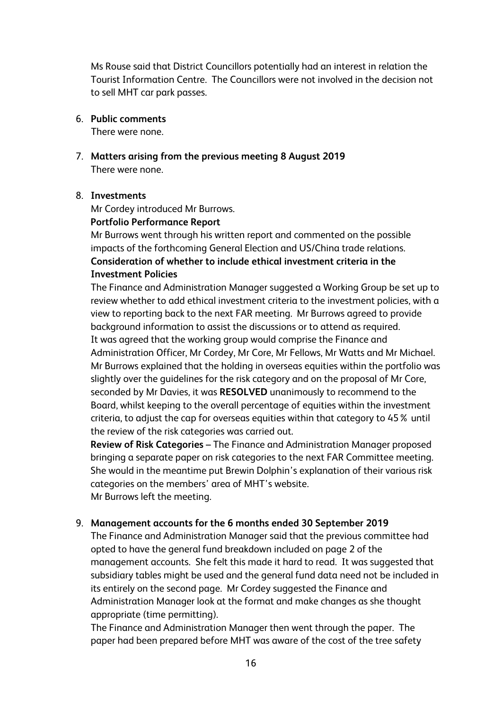Ms Rouse said that District Councillors potentially had an interest in relation the Tourist Information Centre. The Councillors were not involved in the decision not to sell MHT car park passes.

6. **Public comments**

There were none.

7. **Matters arising from the previous meeting 8 August 2019** There were none.

## 8. **Investments**

Mr Cordey introduced Mr Burrows.

# **Portfolio Performance Report**

Mr Burrows went through his written report and commented on the possible impacts of the forthcoming General Election and US/China trade relations. **Consideration of whether to include ethical investment criteria in the Investment Policies**

The Finance and Administration Manager suggested a Working Group be set up to review whether to add ethical investment criteria to the investment policies, with a view to reporting back to the next FAR meeting. Mr Burrows agreed to provide background information to assist the discussions or to attend as required. It was agreed that the working group would comprise the Finance and Administration Officer, Mr Cordey, Mr Core, Mr Fellows, Mr Watts and Mr Michael. Mr Burrows explained that the holding in overseas equities within the portfolio was slightly over the guidelines for the risk category and on the proposal of Mr Core, seconded by Mr Davies, it was **RESOLVED** unanimously to recommend to the Board, whilst keeping to the overall percentage of equities within the investment criteria, to adjust the cap for overseas equities within that category to 45% until the review of the risk categories was carried out.

**Review of Risk Categories** – The Finance and Administration Manager proposed bringing a separate paper on risk categories to the next FAR Committee meeting. She would in the meantime put Brewin Dolphin's explanation of their various risk categories on the members' area of MHT's website. Mr Burrows left the meeting.

# 9. **Management accounts for the 6 months ended 30 September 2019**

The Finance and Administration Manager said that the previous committee had opted to have the general fund breakdown included on page 2 of the management accounts. She felt this made it hard to read. It was suggested that subsidiary tables might be used and the general fund data need not be included in its entirely on the second page. Mr Cordey suggested the Finance and Administration Manager look at the format and make changes as she thought appropriate (time permitting).

The Finance and Administration Manager then went through the paper. The paper had been prepared before MHT was aware of the cost of the tree safety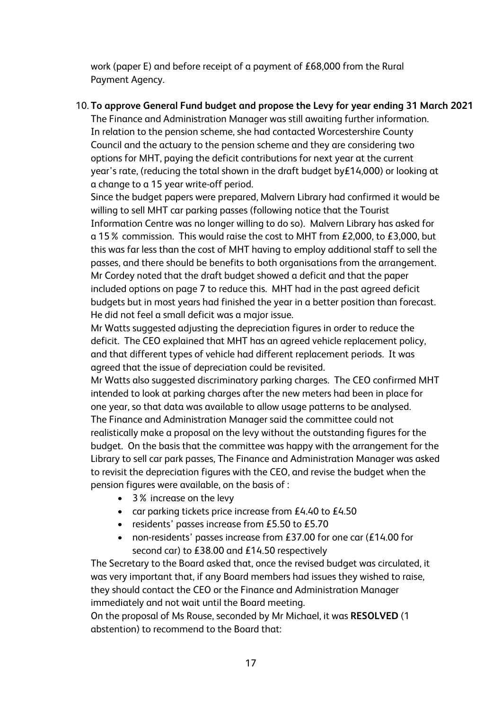work (paper E) and before receipt of a payment of £68,000 from the Rural Payment Agency.

# 10. **To approve General Fund budget and propose the Levy for year ending 31 March 2021**

The Finance and Administration Manager was still awaiting further information. In relation to the pension scheme, she had contacted Worcestershire County Council and the actuary to the pension scheme and they are considering two options for MHT, paying the deficit contributions for next year at the current year's rate, (reducing the total shown in the draft budget by£14,000) or looking at a change to a 15 year write-off period.

Since the budget papers were prepared, Malvern Library had confirmed it would be willing to sell MHT car parking passes (following notice that the Tourist Information Centre was no longer willing to do so). Malvern Library has asked for a 15% commission. This would raise the cost to MHT from £2,000, to £3,000, but this was far less than the cost of MHT having to employ additional staff to sell the passes, and there should be benefits to both organisations from the arrangement. Mr Cordey noted that the draft budget showed a deficit and that the paper included options on page 7 to reduce this. MHT had in the past agreed deficit budgets but in most years had finished the year in a better position than forecast. He did not feel a small deficit was a major issue.

Mr Watts suggested adjusting the depreciation figures in order to reduce the deficit. The CEO explained that MHT has an agreed vehicle replacement policy, and that different types of vehicle had different replacement periods. It was agreed that the issue of depreciation could be revisited.

Mr Watts also suggested discriminatory parking charges. The CEO confirmed MHT intended to look at parking charges after the new meters had been in place for one year, so that data was available to allow usage patterns to be analysed.

The Finance and Administration Manager said the committee could not realistically make a proposal on the levy without the outstanding figures for the budget. On the basis that the committee was happy with the arrangement for the Library to sell car park passes, The Finance and Administration Manager was asked to revisit the depreciation figures with the CEO, and revise the budget when the pension figures were available, on the basis of :

- 3% increase on the levy
- car parking tickets price increase from  $£4.40$  to  $£4.50$
- residents' passes increase from £5.50 to £5.70
- non-residents' passes increase from £37.00 for one car (£14.00 for second car) to £38.00 and £14.50 respectively

The Secretary to the Board asked that, once the revised budget was circulated, it was very important that, if any Board members had issues they wished to raise, they should contact the CEO or the Finance and Administration Manager immediately and not wait until the Board meeting.

On the proposal of Ms Rouse, seconded by Mr Michael, it was **RESOLVED** (1 abstention) to recommend to the Board that: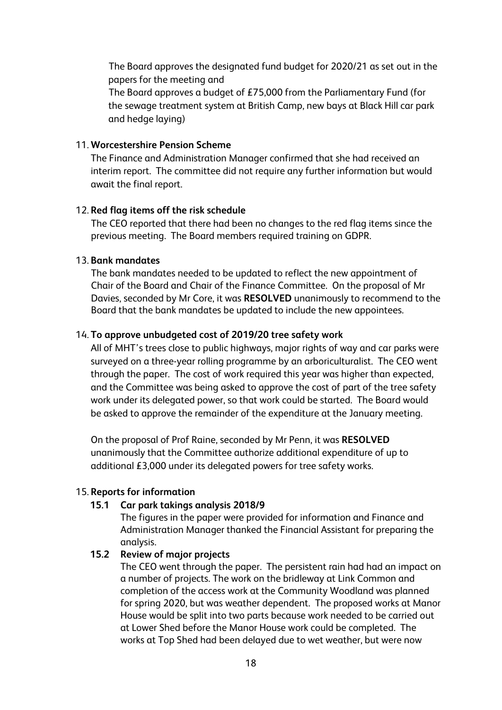The Board approves the designated fund budget for 2020/21 as set out in the papers for the meeting and

The Board approves a budget of £75,000 from the Parliamentary Fund (for the sewage treatment system at British Camp, new bays at Black Hill car park and hedge laying)

### 11. **Worcestershire Pension Scheme**

The Finance and Administration Manager confirmed that she had received an interim report. The committee did not require any further information but would await the final report.

## 12. **Red flag items off the risk schedule**

The CEO reported that there had been no changes to the red flag items since the previous meeting. The Board members required training on GDPR.

#### 13. **Bank mandates**

The bank mandates needed to be updated to reflect the new appointment of Chair of the Board and Chair of the Finance Committee. On the proposal of Mr Davies, seconded by Mr Core, it was **RESOLVED** unanimously to recommend to the Board that the bank mandates be updated to include the new appointees.

#### 14. **To approve unbudgeted cost of 2019/20 tree safety work**

All of MHT's trees close to public highways, major rights of way and car parks were surveyed on a three-year rolling programme by an arboriculturalist. The CEO went through the paper. The cost of work required this year was higher than expected, and the Committee was being asked to approve the cost of part of the tree safety work under its delegated power, so that work could be started. The Board would be asked to approve the remainder of the expenditure at the January meeting.

On the proposal of Prof Raine, seconded by Mr Penn, it was **RESOLVED** unanimously that the Committee authorize additional expenditure of up to additional £3,000 under its delegated powers for tree safety works.

#### 15. **Reports for information**

#### **15.1 Car park takings analysis 2018/9**

The figures in the paper were provided for information and Finance and Administration Manager thanked the Financial Assistant for preparing the analysis.

#### **15.2 Review of major projects**

The CEO went through the paper. The persistent rain had had an impact on a number of projects. The work on the bridleway at Link Common and completion of the access work at the Community Woodland was planned for spring 2020, but was weather dependent. The proposed works at Manor House would be split into two parts because work needed to be carried out at Lower Shed before the Manor House work could be completed. The works at Top Shed had been delayed due to wet weather, but were now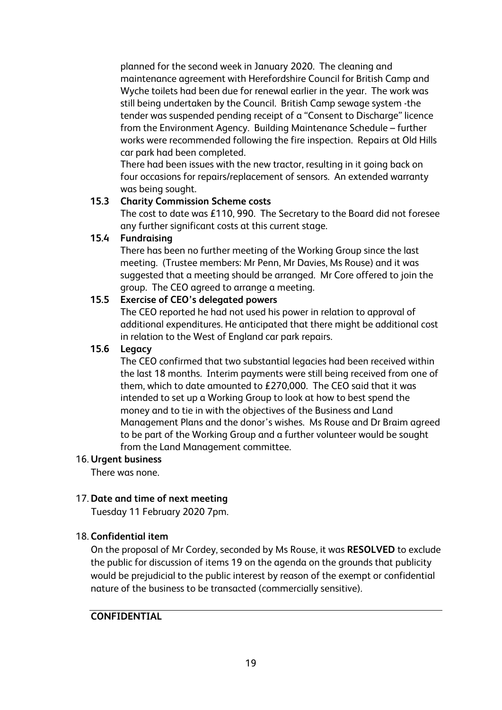planned for the second week in January 2020. The cleaning and maintenance agreement with Herefordshire Council for British Camp and Wyche toilets had been due for renewal earlier in the year. The work was still being undertaken by the Council. British Camp sewage system -the tender was suspended pending receipt of a "Consent to Discharge" licence from the Environment Agency. Building Maintenance Schedule – further works were recommended following the fire inspection. Repairs at Old Hills car park had been completed.

There had been issues with the new tractor, resulting in it going back on four occasions for repairs/replacement of sensors. An extended warranty was being sought.

# **15.3 Charity Commission Scheme costs**

The cost to date was £110, 990. The Secretary to the Board did not foresee any further significant costs at this current stage.

# **15.4 Fundraising**

There has been no further meeting of the Working Group since the last meeting. (Trustee members: Mr Penn, Mr Davies, Ms Rouse) and it was suggested that a meeting should be arranged. Mr Core offered to join the group. The CEO agreed to arrange a meeting.

# **15.5 Exercise of CEO's delegated powers**

The CEO reported he had not used his power in relation to approval of additional expenditures. He anticipated that there might be additional cost in relation to the West of England car park repairs.

## **15.6 Legacy**

The CEO confirmed that two substantial legacies had been received within the last 18 months. Interim payments were still being received from one of them, which to date amounted to £270,000. The CEO said that it was intended to set up a Working Group to look at how to best spend the money and to tie in with the objectives of the Business and Land Management Plans and the donor's wishes. Ms Rouse and Dr Braim agreed to be part of the Working Group and a further volunteer would be sought from the Land Management committee.

## 16. **Urgent business**

There was none.

## 17. **Date and time of next meeting**

Tuesday 11 February 2020 7pm.

## 18. **Confidential item**

On the proposal of Mr Cordey, seconded by Ms Rouse, it was **RESOLVED** to exclude the public for discussion of items 19 on the agenda on the grounds that publicity would be prejudicial to the public interest by reason of the exempt or confidential nature of the business to be transacted (commercially sensitive).

## **CONFIDENTIAL**